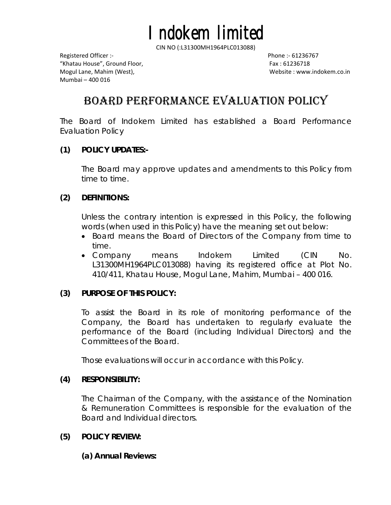"Khatau House", Ground Floor, Fax : 61236718 Mogul Lane, Mahim (West), Website : www.indokem.co.in Mumbai – 400 016

# BOARD PERFORMANCE EVALUATION POLICY

The Board of Indokem Limited has established a Board Performance Evaluation Policy

### **(1) POLICY UPDATES:-**

The Board may approve updates and amendments to this Policy from time to time.

### **(2) DEFINITIONS:**

Unless the contrary intention is expressed in this Policy, the following words (when used in this Policy) have the meaning set out below:

- Board means the Board of Directors of the Company from time to time.
- Company means Indokem Limited (CIN No. L31300MH1964PLC013088) having its registered office at Plot No. 410/411, Khatau House, Mogul Lane, Mahim, Mumbai – 400 016.

# **(3) PURPOSE OF THIS POLICY:**

To assist the Board in its role of monitoring performance of the Company, the Board has undertaken to regularly evaluate the performance of the Board (including Individual Directors) and the Committees of the Board.

Those evaluations will occur in accordance with this Policy.

# **(4) RESPONSIBILITY:**

The Chairman of the Company, with the assistance of the Nomination & Remuneration Committees is responsible for the evaluation of the Board and Individual directors.

#### **(5) POLICY REVIEW:**

**(a) Annual Reviews:**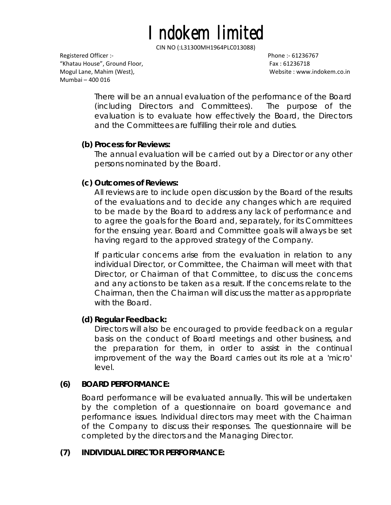"Khatau House", Ground Floor, Fax : 61236718 Mogul Lane, Mahim (West), Website : www.indokem.co.in Mumbai – 400 016

There will be an annual evaluation of the performance of the Board (including Directors and Committees). The purpose of the evaluation is to evaluate how effectively the Board, the Directors and the Committees are fulfilling their role and duties.

# **(b) Process for Reviews:**

The annual evaluation will be carried out by a Director or any other persons nominated by the Board.

# **(c) Outcomes of Reviews:**

All reviews are to include open discussion by the Board of the results of the evaluations and to decide any changes which are required to be made by the Board to address any lack of performance and to agree the goals for the Board and, separately, for its Committees for the ensuing year. Board and Committee goals will always be set having regard to the approved strategy of the Company.

If particular concerns arise from the evaluation in relation to any individual Director, or Committee, the Chairman will meet with that Director, or Chairman of that Committee, to discuss the concerns and any actions to be taken as a result. If the concerns relate to the Chairman, then the Chairman will discuss the matter as appropriate with the Board.

# **(d) Regular Feedback:**

Directors will also be encouraged to provide feedback on a regular basis on the conduct of Board meetings and other business, and the preparation for them, in order to assist in the continual improvement of the way the Board carries out its role at a 'micro' level.

# **(6) BOARD PERFORMANCE:**

Board performance will be evaluated annually. This will be undertaken by the completion of a questionnaire on board governance and performance issues. Individual directors may meet with the Chairman of the Company to discuss their responses. The questionnaire will be completed by the directors and the Managing Director.

# **(7) INDIVIDUAL DIRECTOR PERFORMANCE:**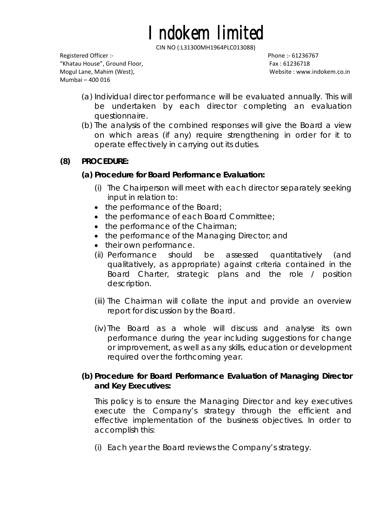"Khatau House", Ground Floor, Fax : 61236718 Mogul Lane, Mahim (West), Website : www.indokem.co.in Mumbai – 400 016

- (a) Individual director performance will be evaluated annually. This will be undertaken by each director completing an evaluation questionnaire.
- (b) The analysis of the combined responses will give the Board a view on which areas (if any) require strengthening in order for it to operate effectively in carrying out its duties.

# **(8) PROCEDURE:**

# **(a) Procedure for Board Performance Evaluation:**

- (i) The Chairperson will meet with each director separately seeking input in relation to:
- the performance of the Board;
- the performance of each Board Committee;
- the performance of the Chairman;
- the performance of the Managing Director; and
- their own performance.
- (ii) Performance should be assessed quantitatively (and qualitatively, as appropriate) against criteria contained in the Board Charter, strategic plans and the role / position description.
- (iii) The Chairman will collate the input and provide an overview report for discussion by the Board.
- (iv) The Board as a whole will discuss and analyse its own performance during the year including suggestions for change or improvement, as well as any skills, education or development required over the forthcoming year.

# **(b) Procedure for Board Performance Evaluation of Managing Director and Key Executives:**

This policy is to ensure the Managing Director and key executives execute the Company's strategy through the efficient and effective implementation of the business objectives. In order to accomplish this:

(i) Each year the Board reviews the Company's strategy.